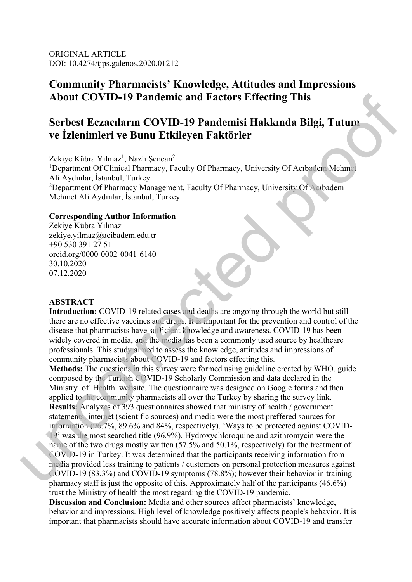ORIGINAL ARTICLE DOI: 10.4274/tjps.galenos.2020.01212

## **Community Pharmacists' Knowledge, Attitudes and Impressions About COVID-19 Pandemic and Factors Effecting This**

# **Serbest Eczacıların COVID-19 Pandemisi Hakkında Bilgi, Tutum ve İzlenimleri ve Bunu Etkileyen Faktörler**

Zekiye Kübra Yılmaz<sup>1</sup>, Nazlı Şencan<sup>2</sup> <sup>1</sup>Department Of Clinical Pharmacy, Faculty Of Pharmacy, University Of Acıbadem Mehmet Ali Aydınlar, İstanbul, Turkey <sup>2</sup>Department Of Pharmacy Management, Faculty Of Pharmacy, University Of Acıbadem Mehmet Ali Aydınlar, İstanbul, Turkey

#### **Corresponding Author Information**

Zekiye Kübra Yılmaz zekiye.yilmaz@acibadem.edu.tr +90 530 391 27 51 orcid.org/0000-0002-0041-6140 30.10.2020 07.12.2020

#### **ABSTRACT**

**Introduction:** COVID-19 related cases and deaths are ongoing through the world but still there are no effective vaccines and drugs. It is important for the prevention and control of the disease that pharmacists have sufficient knowledge and awareness. COVID-19 has been widely covered in media, and the media has been a commonly used source by healthcare professionals. This study aimed to assess the knowledge, attitudes and impressions of community pharmacists about COVID-19 and factors effecting this.

**Methods:** The questions in this survey were formed using guideline created by WHO, guide composed by the Turkish COVID-19 Scholarly Commission and data declared in the Ministry of Health website. The questionnaire was designed on Google forms and then applied to the community pharmacists all over the Turkey by sharing the survey link. **Results:** Analyzes of 393 questionnaires showed that ministry of health / government statements, internet (scientific sources) and media were the most preffered sources for information (96.7%, 89.6% and 84%, respectively). 'Ways to be protected against COVID-19' was the most searched title (96.9%). Hydroxychloroquine and azithromycin were the name of the two drugs mostly written (57.5% and 50.1%, respectively) for the treatment of COVID-19 in Turkey. It was determined that the participants receiving information from media provided less training to patients / customers on personal protection measures against COVID-19 (83.3%) and COVID-19 symptoms (78.8%); however their behavior in training pharmacy staff is just the opposite of this. Approximately half of the participants (46.6%) trust the Ministry of health the most regarding the COVID-19 pandemic. **About COVID-19 Pandemic and Factors Effecting This<br>
Serbest Eccacelarun COVID-19 Pandemisi Hakkında Bilgi, Tutum<br>
ve İzlenimleri ve Bunu Etkileyen Faktörler<br>
Zekiye kubar yılmazı, Nuveri Şemaniye Tekiliye (Department Of** 

**Discussion and Conclusion:** Media and other sources affect pharmacists' knowledge, behavior and impressions. High level of knowledge positively affects people's behavior. It is important that pharmacists should have accurate information about COVID-19 and transfer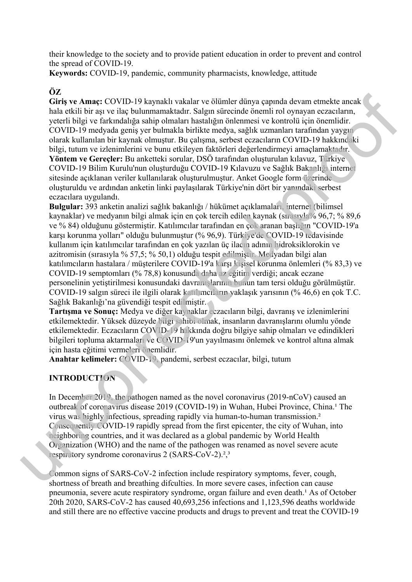their knowledge to the society and to provide patient education in order to prevent and control the spread of COVID-19.

**Keywords:** COVID-19, pandemic, community pharmacists, knowledge, attitude

## **ÖZ**

**Giriş ve Amaç:** COVID-19 kaynaklı vakalar ve ölümler dünya çapında devam etmekte ancak hala etkili bir aşı ve ilaç bulunmamaktadır. Salgın sürecinde önemli rol oynayan eczacıların, yeterli bilgi ve farkındalığa sahip olmaları hastalığın önlenmesi ve kontrolü için önemlidir. COVID-19 medyada geniş yer bulmakla birlikte medya, sağlık uzmanları tarafından yaygın olarak kullanılan bir kaynak olmuştur. Bu çalışma, serbest eczacıların COVID-19 hakkındaki bilgi, tutum ve izlenimlerini ve bunu etkileyen faktörleri değerlendirmeyi amaçlamaktadır. **Yöntem ve Gereçler:** Bu anketteki sorular, DSÖ tarafından oluşturulan kılavuz, Türkiye COVID-19 Bilim Kurulu'nun oluşturduğu COVID-19 Kılavuzu ve Sağlık Bakanlığı internet sitesinde açıklanan veriler kullanılarak oluşturulmuştur. Anket Google form üzerinde oluşturuldu ve ardından anketin linki paylaşılarak Türkiye'nin dört bir yanındaki serbest eczacılara uygulandı.

**Bulgular:** 393 anketin analizi sağlık bakanlığı / hükümet açıklamaları, internet (bilimsel kaynaklar) ve medyanın bilgi almak için en çok tercih edilen kaynak (sırasıyla% 96,7; % 89,6 ve % 84) olduğunu göstermiştir. Katılımcılar tarafından en çok aranan başlığın "COVID-19'a karşı korunma yolları" olduğu bulunmuştur (% 96,9). Türkiye'de COVID-19 tedavisinde kullanım için katılımcılar tarafından en çok yazılan üç ilacın adının hidroksiklorokin ve azitromisin (sırasıyla % 57,5; % 50,1) olduğu tespit edilmiştir. Medyadan bilgi alan katılımcıların hastalara / müşterilere COVID-19'a karşı kişisel korunma önlemleri (% 83,3) ve COVID-19 semptomları (% 78,8) konusunda daha az eğitim verdiği; ancak eczane personelinin yetiştirilmesi konusundaki davranışlarının bunun tam tersi olduğu görülmüştür. COVID-19 salgın süreci ile ilgili olarak katılımcıların yaklaşık yarısının (% 46,6) en çok T.C. Sağlık Bakanlığı'na güvendiği tespit edilmiştir.  $U$ , the Amary COVID-19 kaymaki veladar ve ölümler dünya vapnala devam etmekte uncak<br>haci velada bili bir földa median molekula median taggi vapnala devam etmekted proof vapnala median molekula median molekula median mole

**Tartışma ve Sonuç:** Medya ve diğer kaynaklar eczacıların bilgi, davranış ve izlenimlerini etkilemektedir. Yüksek düzeyde bilgi sahibi olmak, insanların davranışlarını olumlu yönde etkilemektedir. Eczacıların COVID-19 hakkında doğru bilgiye sahip olmaları ve edindikleri bilgileri topluma aktarmaları ve COVID-19'un yayılmasını önlemek ve kontrol altına almak için hasta eğitimi vermeleri önemlidir.

**Anahtar kelimeler:** COVID-19, pandemi, serbest eczacılar, bilgi, tutum

## **INTRODUCTION**

In December 2019, the pathogen named as the novel coronavirus (2019-nCoV) caused an outbreak of coronavirus disease 2019 (COVID-19) in Wuhan, Hubei Province, China.<sup>1</sup> The virus was highly infectious, spreading rapidly via human-to-human transmission.² Consequently COVID-19 rapidly spread from the first epicenter, the city of Wuhan, into neighboring countries, and it was declared as a global pandemic by World Health Organization (WHO) and the name of the pathogen was renamed as novel severe acute respiratory syndrome coronavirus 2 (SARS-CoV-2).<sup>2</sup>,<sup>3</sup>

Common signs of SARS-CoV-2 infection include respiratory symptoms, fever, cough, shortness of breath and breathing difculties. In more severe cases, infection can cause pneumonia, severe acute respiratory syndrome, organ failure and even death.<sup>1</sup> As of October 20th 2020, SARS-CoV-2 has caused 40,693,256 infections and 1,123,596 deaths worldwide and still there are no effective vaccine products and drugs to prevent and treat the COVID-19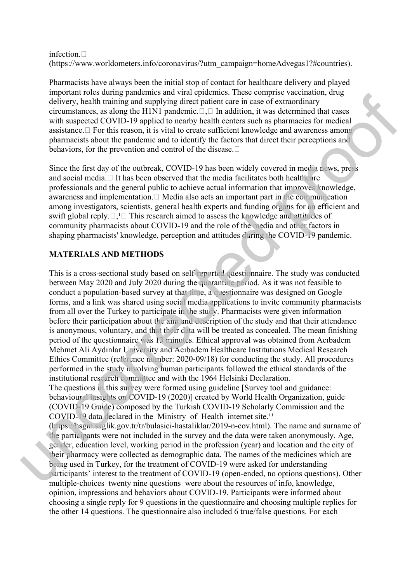#### infection. $\Box$ (https://www.worldometers.info/coronavirus/?utm\_campaign=homeAdvegas1?#countries).

Pharmacists have always been the initial stop of contact for healthcare delivery and played important roles during pandemics and viral epidemics. These comprise vaccination, drug delivery, health training and supplying direct patient care in case of extraordinary circumstances, as along the H1N1 pandemic. $\Box$ , $\Box$  In addition, it was determined that cases with suspected COVID-19 applied to nearby health centers such as pharmacies for medical assistance. $\Box$  For this reason, it is vital to create sufficient knowledge and awareness among pharmacists about the pandemic and to identify the factors that direct their perceptions and behaviors, for the prevention and control of the disease.  $\Box$ 

Since the first day of the outbreak, COVID-19 has been widely covered in media news, press and social media. $\Box$  It has been observed that the media facilitates both healthcare professionals and the general public to achieve actual information that improves knowledge, awareness and implementation. $\Box$  Media also acts an important part in the communication among investigators, scientists, general health experts and funding organs for an efficient and swift global reply. $\Box$ ,  $\Box$  This research aimed to assess the knowledge and attitudes of community pharmacists about COVID-19 and the role of the media and other factors in shaping pharmacists' knowledge, perception and attitudes during the COVID-19 pandemic.

## **MATERIALS AND METHODS**

This is a cross-sectional study based on self-reported questionnaire. The study was conducted between May 2020 and July 2020 during the quarantine period. As it was not feasible to conduct a population-based survey at that time, a questionnaire was designed on Google forms, and a link was shared using social media applications to invite community pharmacists from all over the Turkey to participate in the study. Pharmacists were given information before their participation about the aim and description of the study and that their attendance is anonymous, voluntary, and that their data will be treated as concealed. The mean finishing period of the questionnaire was 13 minutes. Ethical approval was obtained from Acıbadem Mehmet Ali Aydınlar University and Acıbadem Healthcare Institutions Medical Research Ethics Committee (reference number: 2020-09/18) for conducting the study. All procedures performed in the study involving human participants followed the ethical standards of the institutional research committee and with the 1964 Helsinki Declaration. mpartameteris at a strengt parameteris and the magnitude probability. This case methods are also that the magnitude of the magnitude of the magnitude state and strength of the magnitude properties and the magnitude of the

The questions in this survey were formed using guideline [Survey tool and guidance: behavioural insights on COVID-19 (2020)] created by World Health Organization, guide (COVID-19 Guide) composed by the Turkish COVID-19 Scholarly Commission and the COVID-19 data declared in the Ministry of Health internet site.<sup>11</sup>

(https://hsgm.saglik.gov.tr/tr/bulasici-hastaliklar/2019-n-cov.html). The name and surname of the participants were not included in the survey and the data were taken anonymously. Age, gender, education level, working period in the profession (year) and location and the city of their pharmacy were collected as demographic data. The names of the medicines which are being used in Turkey, for the treatment of COVID-19 were asked for understanding participants' interest to the treatment of COVID-19 (open-ended, no options questions). Other multiple-choices twenty nine questions were about the resources of info, knowledge, opinion, impressions and behaviors about COVID-19. Participants were informed about choosing a single reply for 9 questions in the questionnaire and choosing multiple replies for the other 14 questions. The questionnaire also included 6 true/false questions. For each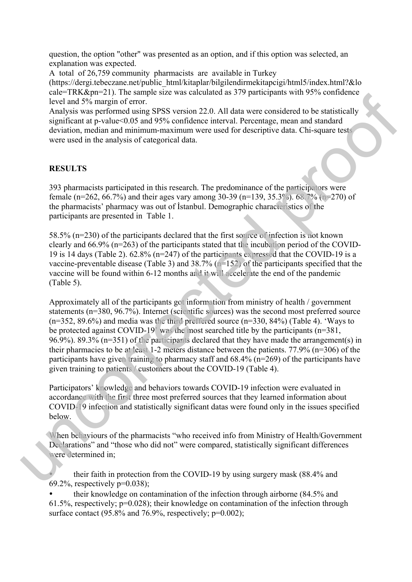question, the option "other" was presented as an option, and if this option was selected, an explanation was expected.

A total of 26,759 community pharmacists are available in Turkey

(https://dergi.tebeczane.net/public\_html/kitaplar/bilgilendirmekitapcigi/html5/index.html?&lo cale=TRK&pn=21). The sample size was calculated as 379 participants with 95% confidence level and 5% margin of error.

Analysis was performed using SPSS version 22.0. All data were considered to be statistically significant at p-value<0.05 and 95% confidence interval. Percentage, mean and standard deviation, median and minimum-maximum were used for descriptive data. Chi-square tests were used in the analysis of categorical data.

## **RESULTS**

393 pharmacists participated in this research. The predominance of the participators were female (n=262, 66.7%) and their ages vary among 30-39 (n=139, 35.3%). 68.7% (n=270) of the pharmacists' pharmacy was out of İstanbul. Demographic characteristics of the participants are presented in Table 1.

58.5% (n=230) of the participants declared that the first source of infection is not known clearly and 66.9% (n=263) of the participants stated that the incubation period of the COVID-19 is 14 days (Table 2).  $62.8\%$  ( $n=247$ ) of the participants expressed that the COVID-19 is a vaccine-preventable disease (Table 3) and  $38.7\%$  (n=152) of the participants specified that the vaccine will be found within 6-12 months and it will accelerate the end of the pandemic (Table 5).

Approximately all of the participants got information from ministry of health / government statements (n=380, 96.7%). Internet (scientific sources) was the second most preferred source (n=352, 89.6%) and media was the third preffered source (n=330, 84%) (Table 4). 'Ways to be protected against COVID-19' was the most searched title by the participants (n=381, 96.9%). 89.3% (n=351) of the participants declared that they have made the arrangement(s) in their pharmacies to be at least 1-2 meters distance between the patients. 77.9% (n=306) of the participants have given training to pharmacy staff and  $68.4\%$  (n=269) of the participants have given training to patients / customers about the COVID-19 (Table 4). Ener Keckper 21). In Sample was well cannot as a sy parameterism want by so contained<br>these land 5% margin of error. CSSS version 22.0. All data were considered to be statistically<br>Analysis was preferred force (SSS) conti

Participators' knowledge and behaviors towards COVID-19 infection were evaluated in accordance with the first three most preferred sources that they learned information about COVID-19 infection and statistically significant datas were found only in the issues specified below.

When behaviours of the pharmacists "who received info from Ministry of Health/Government Declarations" and "those who did not" were compared, statistically significant differences were determined in;

• their faith in protection from the COVID-19 by using surgery mask (88.4% and 69.2%, respectively  $p=0.038$ ;

• their knowledge on contamination of the infection through airborne (84.5% and 61.5%, respectively; p=0.028); their knowledge on contamination of the infection through surface contact  $(95.8\%$  and  $76.9\%$ , respectively;  $p=0.002$ );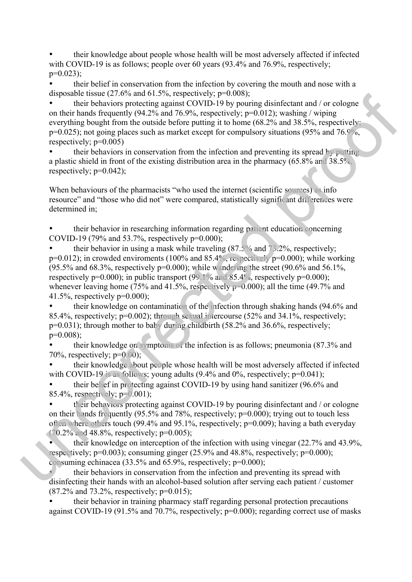• their knowledge about people whose health will be most adversely affected if infected with COVID-19 is as follows; people over 60 years (93.4% and 76.9%, respectively;  $p=0.023$ 

• their belief in conservation from the infection by covering the mouth and nose with a disposable tissue  $(27.6\%$  and  $61.5\%$ , respectively; p=0.008);

• their behaviors protecting against COVID-19 by pouring disinfectant and / or cologne on their hands frequently (94.2% and 76.9%, respectively;  $p=0.012$ ); washing / wiping everything bought from the outside before putting it to home (68.2% and 38.5%, respectively; p=0.025); not going places such as market except for compulsory situations (95% and 76.9%, respectively;  $p=0.005$ )

their behaviors in conservation from the infection and preventing its spread by putting a plastic shield in front of the existing distribution area in the pharmacy (65.8% and 38.5%, respectively;  $p=0.042$ );

When behaviours of the pharmacists "who used the internet (scientific sources) as info resource" and "those who did not" were compared, statistically significant differences were determined in;

• their behavior in researching information regarding patient education concerning COVID-19 (79% and 53.7%, respectively  $p=0.000$ );

their behavior in using a mask while traveling  $(87.5\%$  and  $73.2\%$ , respectively;  $p=0.012$ ); in crowded enviroments (100% and 85.4%, respectively  $p=0.000$ ); while working (95.5% and 68.3%, respectively  $p=0.000$ ); while wandering the street (90.6% and 56.1%, respectively  $p=0.000$ ; in public transport (99.1% and 85.4%, respectively  $p=0.000$ ); whenever leaving home (75% and 41.5%, respectively  $p=0.000$ ); all the time (49.7% and 41.5%, respectively  $p=0.000$ ; ulso<br>said trace (2.7.6% and 61.2%, espectively, p-10.008),<br>the same (2.008) and 61.2%, espectively, p-10.01), we show that the same<br>of the same strength of 4.2% and 78.9%, respectively p-0.012), we show<br>that  $\epsilon$  wincompo

• their knowledge on contamination of the infection through shaking hands (94.6% and 85.4%, respectively; p=0.002); through sexual intercourse (52% and 34.1%, respectively;  $p=0.031$ ); through mother to baby during childbirth (58.2% and 36.6%, respectively; p=0.008);

• their knowledge on symptoms of the infection is as follows; pneumonia (87.3% and 70%, respectively;  $p=0.00$ );

• their knowledge about people whose health will be most adversely affected if infected with COVID-19 is as follows; young adults  $(9.4\%$  and  $0\%$ , respectively;  $p=0.041$ ;

• their belief in protecting against COVID-19 by using hand sanitizer (96.6% and 85.4%, respectively; p=0.001);

• their behaviors protecting against COVID-19 by pouring disinfectant and / or cologne on their hands frequently  $(95.5\%$  and 78%, respectively;  $p=0.000$ ); trying out to touch less often where others touch (99.4% and 95.1%, respectively; p=0.009); having a bath everyday  $(70.2\% \text{ and } 48.8\% \text{), respectively; } p=0.005$ ;

• their knowledge on interception of the infection with using vinegar (22.7% and 43.9%, respectively;  $p=0.003$ ); consuming ginger (25.9% and 48.8%, respectively;  $p=0.000$ ); consuming echinacea (33.5% and 65.9%, respectively; p=0.000);

• their behaviors in conservation from the infection and preventing its spread with disinfecting their hands with an alcohol-based solution after serving each patient / customer  $(87.2\%$  and  $73.2\%$ , respectively; p=0.015);

• their behavior in training pharmacy staff regarding personal protection precautions against COVID-19 (91.5% and 70.7%, respectively; p=0.000); regarding correct use of masks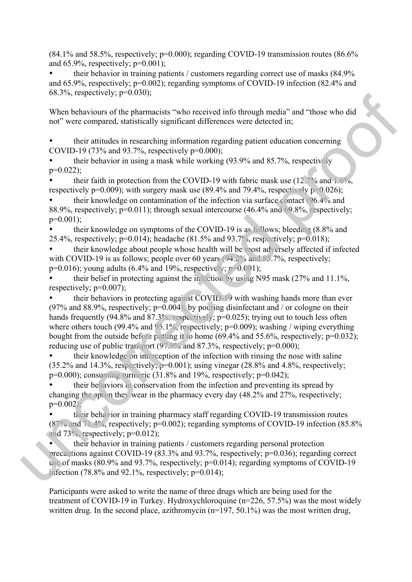$(84.1\%$  and 58.5%, respectively; p=0.000); regarding COVID-19 transmission routes  $(86.6\%$ and  $65.9\%$ , respectively;  $p=0.001$ );

• their behavior in training patients / customers regarding correct use of masks (84.9% and 65.9%, respectively; p=0.002); regarding symptoms of COVID-19 infection (82.4% and 68.3%, respectively; p=0.030);

When behaviours of the pharmacists "who received info through media" and "those who did not" were compared, statistically significant differences were detected in;

• their attitudes in researching information regarding patient education concerning COVID-19 (73% and 93.7%, respectively  $p=0.000$ );

• their behavior in using a mask while working (93.9% and 85.7%, respectively  $p=0.022$ ;

• their faith in protection from the COVID-19 with fabric mask use (12.7% and 1.6%, respectively  $p=0.009$ ); with surgery mask use (89.4% and 79.4%, respectively  $p=0.026$ );

• their knowledge on contamination of the infection via surface contact (96.4% and 88.9%, respectively; p=0.011); through sexual intercourse (46.4% and 69.8%, respectively;  $p=0.001$ ;

• their knowledge on symptoms of the COVID-19 is as follows; bleeding (8.8% and 25.4%, respectively;  $p=0.014$ ); headache (81.5% and 93.7%, respectively;  $p=0.018$ );

• their knowledge about people whose health will be most adversely affected if infected with COVID-19 is as follows; people over 60 years (94.2% and 85.7%, respectively;  $p=0.016$ ; young adults (6.4% and 19%, respectively;  $p=0.001$ );

• their belief in protecting against the infection by using N95 mask (27% and 11.1%, respectively;  $p=0.007$ );

• their behaviors in protecting against COVID-19 with washing hands more than ever (97% and 88.9%, respectively;  $p=0.004$ ); by pouring disinfectant and / or cologne on their hands frequently (94.8% and 87.3%, respectively; p=0.025); trying out to touch less often where others touch (99.4% and 95.1%, respectively; p=0.009); washing / wiping everything bought from the outside before putting it to home  $(69.4\%$  and  $55.6\%$ , respectively;  $p=0.032$ ); reducing use of public transport (97.9% and 87.3%, respectively; p=0.000); 08.2%, respectively; p 0.000),<br>Warh relaxions of the pharmacetist "what received inforting media" and "hose who did<br>Not were compared, statistically significant differences were detected in;<br>
their tailogies in researchin

• their knowledge on interception of the infection with rinsing the nose with saline  $(35.2\%$  and 14.3%, respectively;  $p=0.001$ ); using vinegar  $(28.8\%$  and 4.8%, respectively;  $p=0.000$ ; consuming turmeric  $(31.8\%$  and  $19\%$ , respectively;  $p=0.042$ );

• their behaviors in conservation from the infection and preventing its spread by changing the apron they wear in the pharmacy every day (48.2% and 27%, respectively; p=0.002);

• their behavior in training pharmacy staff regarding COVID-19 transmission routes (87% and 71.4%, respectively; p=0.002); regarding symptoms of COVID-19 infection (85.8% and  $73\%$ , respectively;  $p=0.012$ );

• their behavior in training patients / customers regarding personal protection precautions against COVID-19 (83.3% and 93.7%, respectively; p=0.036); regarding correct use of masks (80.9% and 93.7%, respectively; p=0.014); regarding symptoms of COVID-19 infection (78.8% and 92.1%, respectively;  $p=0.014$ );

Participants were asked to write the name of three drugs which are being used for the treatment of COVID-19 in Turkey. Hydroxychloroquine (n=226, 57.5%) was the most widely written drug. In the second place, azithromycin (n=197, 50.1%) was the most written drug,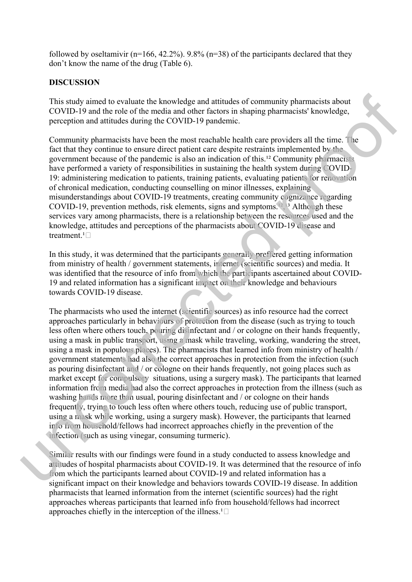followed by oseltamivir ( $n=166$ , 42.2%). 9.8% ( $n=38$ ) of the participants declared that they don't know the name of the drug (Table 6).

#### **DISCUSSION**

This study aimed to evaluate the knowledge and attitudes of community pharmacists about COVID-19 and the role of the media and other factors in shaping pharmacists' knowledge, perception and attitudes during the COVID-19 pandemic.

Community pharmacists have been the most reachable health care providers all the time. The fact that they continue to ensure direct patient care despite restraints implemented by the government because of the pandemic is also an indication of this.<sup>12</sup> Community pharmacists have performed a variety of responsibilities in sustaining the health system during COVID-19: administering medication to patients, training patients, evaluating patients for renovation of chronical medication, conducting counselling on minor illnesses, explaining misunderstandings about COVID-19 treatments, creating community cognizance regarding COVID-19, prevention methods, risk elements, signs and symptoms.<sup>[2]</sup>,<sup>13</sup> Although these services vary among pharmacists, there is a relationship between the resources used and the knowledge, attitudes and perceptions of the pharmacists about COVID-19 disease and treatment.<sup>1</sup> $\Box$ 

In this study, it was determined that the participants generally preffered getting information from ministry of health / government statements, internet (scientific sources) and media. It was identified that the resource of info from which the participants ascertained about COVID-19 and related information has a significant impact on their knowledge and behaviours towards COVID-19 disease.

The pharmacists who used the internet (scientific sources) as info resource had the correct approaches particularly in behaviours of protection from the disease (such as trying to touch less often where others touch, pouring disinfectant and / or cologne on their hands frequently, using a mask in public transport, using a mask while traveling, working, wandering the street, using a mask in populous places). The pharmacists that learned info from ministry of health / government statements had also the correct approaches in protection from the infection (such as pouring disinfectant and / or cologne on their hands frequently, not going places such as market except for compulsory situations, using a surgery mask). The participants that learned information from media had also the correct approaches in protection from the illness (such as washing hands more than usual, pouring disinfectant and / or cologne on their hands frequently, trying to touch less often where others touch, reducing use of public transport, using a mask while working, using a surgery mask). However, the participants that learned info from household/fellows had incorrect approaches chiefly in the prevention of the infection (such as using vinegar, consuming turmeric). This study aimed to evaluate the knowledge and attitudes of community pharmacies about COVID-19 and the rule of ore media med other hatms in shaping pharmacies fenometric processions and interesting the correlation of the

Similar results with our findings were found in a study conducted to assess knowledge and attitudes of hospital pharmacists about COVID-19. It was determined that the resource of info from which the participants learned about COVID-19 and related information has a significant impact on their knowledge and behaviors towards COVID-19 disease. In addition pharmacists that learned information from the internet (scientific sources) had the right approaches whereas participants that learned info from household/fellows had incorrect approaches chiefly in the interception of the illness.<sup>1</sup> $\square$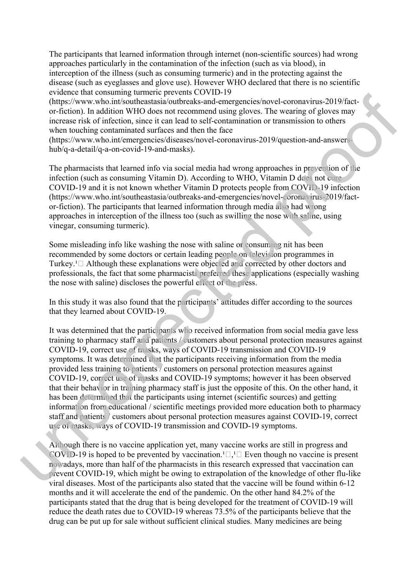The participants that learned information through internet (non-scientific sources) had wrong approaches particularly in the contamination of the infection (such as via blood), in interception of the illness (such as consuming turmeric) and in the protecting against the disease (such as eyeglasses and glove use). However WHO declared that there is no scientific evidence that consuming turmeric prevents COVID-19

(https://www.who.int/southeastasia/outbreaks-and-emergencies/novel-coronavirus-2019/factor-fiction). In addition WHO does not recommend using gloves. The wearing of gloves may increase risk of infection, since it can lead to self-contamination or transmission to others when touching contaminated surfaces and then the face

(https://www.who.int/emergencies/diseases/novel-coronavirus-2019/question-and-answershub/q-a-detail/q-a-on-covid-19-and-masks).

The pharmacists that learned info via social media had wrong approaches in prevention of the infection (such as consuming Vitamin D). According to WHO, Vitamin D does not cure COVID-19 and it is not known whether Vitamin D protects people from COVID-19 infection (https://www.who.int/southeastasia/outbreaks-and-emergencies/novel-coronavirus-2019/factor-fiction). The participants that learned information through media also had wrong approaches in interception of the illness too (such as swilling the nose with saline, using vinegar, consuming turmeric).

Some misleading info like washing the nose with saline or consuming nit has been recommended by some doctors or certain leading people on television programmes in Turkey.<sup>1</sup> $\Box$  Although these explanations were objected and corrected by other doctors and professionals, the fact that some pharmacists preferred these applications (especially washing the nose with saline) discloses the powerful effect of the press.

In this study it was also found that the participants' attitudes differ according to the sources that they learned about COVID-19.

It was determined that the participants who received information from social media gave less training to pharmacy staff and patients / customers about personal protection measures against COVID-19, correct use of masks, ways of COVID-19 transmission and COVID-19 symptoms. It was determined that the participants receiving information from the media provided less training to patients / customers on personal protection measures against COVID-19, correct use of masks and COVID-19 symptoms; however it has been observed that their behavior in training pharmacy staff is just the opposite of this. On the other hand, it has been determined that the participants using internet (scientific sources) and getting information from educational / scientific meetings provided more education both to pharmacy staff and patients / customers about personal protection measures against COVID-19, correct use of masks, ways of COVID-19 transmission and COVID-19 symptoms. Eventric transforming time treation in the proteins (AOT)-19<br>
and the source of the proteins and the proteins and the proteins and the system of the system of the system in the system of the system in the system of the s

Although there is no vaccine application yet, many vaccine works are still in progress and COVID-19 is hoped to be prevented by vaccination.<sup>1</sup> $\Box$ ,<sup>1</sup> $\Box$  Even though no vaccine is present nowadays, more than half of the pharmacists in this research expressed that vaccination can prevent COVID-19, which might be owing to extrapolation of the knowledge of other flu-like viral diseases. Most of the participants also stated that the vaccine will be found within 6-12 months and it will accelerate the end of the pandemic. On the other hand 84.2% of the participants stated that the drug that is being developed for the treatment of COVID-19 will reduce the death rates due to COVID-19 whereas 73.5% of the participants believe that the drug can be put up for sale without sufficient clinical studies. Many medicines are being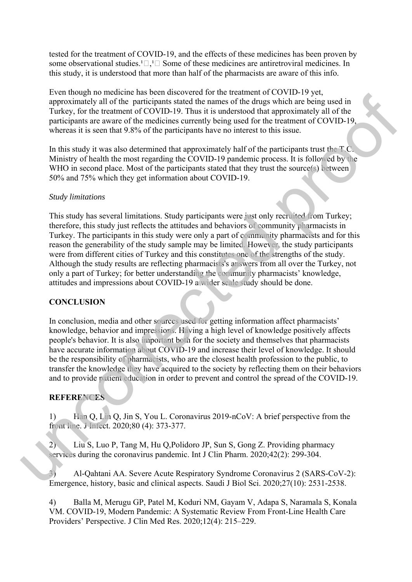tested for the treatment of COVID-19, and the effects of these medicines has been proven by some observational studies.<sup>1</sup> $\Box$ <sup>1</sup> $\Box$  Some of these medicines are antiretroviral medicines. In this study, it is understood that more than half of the pharmacists are aware of this info.

Even though no medicine has been discovered for the treatment of COVID-19 yet, approximately all of the participants stated the names of the drugs which are being used in Turkey, for the treatment of COVID-19. Thus it is understood that approximately all of the participants are aware of the medicines currently being used for the treatment of COVID-19, whereas it is seen that 9.8% of the participants have no interest to this issue.

In this study it was also determined that approximately half of the participants trust the T.C. Ministry of health the most regarding the COVID-19 pandemic process. It is followed by the WHO in second place. Most of the participants stated that they trust the source(s) between 50% and 75% which they get information about COVID-19.

#### *Study limitations*

This study has several limitations. Study participants were just only recruited from Turkey; therefore, this study just reflects the attitudes and behaviors of community pharmacists in Turkey. The participants in this study were only a part of community pharmacists and for this reason the generability of the study sample may be limited. However, the study participants were from different cities of Turkey and this constitutes one of the strengths of the study. Although the study results are reflecting pharmacists's answers from all over the Turkey, not only a part of Turkey; for better understanding the community pharmacists' knowledge, attitudes and impressions about COVID-19 a wider scale study should be done. For the measurements occurs and the measurement of the density of the same that the measurement of COVID-19 and the measurement of COVID-19 and the measurement of COVID-19. The three translated that approximately that is

#### **CONCLUSION**

In conclusion, media and other sources used for getting information affect pharmacists' knowledge, behavior and impressions. Having a high level of knowledge positively affects people's behavior. It is also important both for the society and themselves that pharmacists have accurate information about COVID-19 and increase their level of knowledge. It should be the responsibility of pharmacists, who are the closest health profession to the public, to transfer the knowledge they have acquired to the society by reflecting them on their behaviors and to provide patient education in order to prevent and control the spread of the COVID-19.

#### **REFERENCES**

1) Han Q, Lin Q, Jin S, You L. Coronavirus 2019-nCoV: A brief perspective from the front line. J Infect. 2020;80 (4): 373-377.

2) Liu S, Luo P, Tang M, Hu Q,Polidoro JP, Sun S, Gong Z. Providing pharmacy services during the coronavirus pandemic. Int J Clin Pharm. 2020;42(2): 299-304.

3) Al-Qahtani AA. Severe Acute Respiratory Syndrome Coronavirus 2 (SARS-CoV-2): Emergence, history, basic and clinical aspects. Saudi J Biol Sci. 2020;27(10): 2531-2538.

4) Balla M, Merugu GP, Patel M, Koduri NM, Gayam V, Adapa S, Naramala S, Konala VM. COVID-19, Modern Pandemic: A Systematic Review From Front-Line Health Care Providers' Perspective. J Clin Med Res. 2020;12(4): 215–229.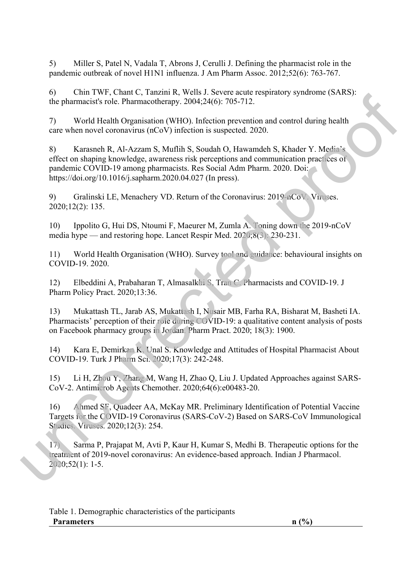5) Miller S, Patel N, Vadala T, Abrons J, Cerulli J. Defining the pharmacist role in the pandemic outbreak of novel H1N1 influenza. J Am Pharm Assoc. 2012;52(6): 763-767.

6) Chin TWF, Chant C, Tanzini R, Wells J. Severe acute respiratory syndrome (SARS): the pharmacist's role. Pharmacotherapy. 2004;24(6): 705-712.

7) World Health Organisation (WHO). Infection prevention and control during health care when novel coronavirus (nCoV) infection is suspected. 2020.

8) Karasneh R, Al-Azzam S, Muflih S, Soudah O, Hawamdeh S, Khader Y. Media's effect on shaping knowledge, awareness risk perceptions and communication practices of pandemic COVID-19 among pharmacists. Res Social Adm Pharm. 2020. Doi: https://doi.org/10.1016/j.sapharm.2020.04.027 (In press). u) Communical Stock Pharmas (with a Newton Responses Spiralty syndromic (x-aks):<br>
The pharmacids stock Pharmacolinency, 2064-24(6): 705-712.<br>
The pharmacids stock Pharmacolinency, 2064-24(6): 705-712.<br>
The wincorrected p

9) Gralinski LE, Menachery VD. Return of the Coronavirus: 2019-nCoV. Viruses. 2020;12(2): 135.

10) Ippolito G, Hui DS, Ntoumi F, Maeurer M, Zumla A. Toning down the 2019-nCoV media hype — and restoring hope. Lancet Respir Med. 2020;8(3): 230-231.

11) World Health Organisation (WHO). Survey tool and guidance: behavioural insights on COVID-19. 2020.

12) Elbeddini A, Prabaharan T, Almasalkhi S, Tran C. Pharmacists and COVID-19. J Pharm Policy Pract. 2020;13:36.

13) Mukattash TL, Jarab AS, Mukattash I, Nusair MB, Farha RA, Bisharat M, Basheti IA. Pharmacists' perception of their role during COVID-19: a qualitative content analysis of posts on Facebook pharmacy groups in Jordan. Pharm Pract. 2020; 18(3): 1900.

14) Kara E, Demirkan K, Unal S. Knowledge and Attitudes of Hospital Pharmacist About COVID-19. Turk J Pharm Sci. 2020;17(3): 242-248.

15) Li H, Zhou Y, Zhang M, Wang H, Zhao Q, Liu J. Updated Approaches against SARS-CoV-2. Antimicrob Agents Chemother. 2020;64(6):e00483-20.

16) Ahmed SF, Quadeer AA, McKay MR. Preliminary Identification of Potential Vaccine Targets for the COVID-19 Coronavirus (SARS-CoV-2) Based on SARS-CoV Immunological Studies. Viruses. 2020;12(3): 254.

17) Sarma P, Prajapat M, Avti P, Kaur H, Kumar S, Medhi B. Therapeutic options for the treatment of 2019-novel coronavirus: An evidence-based approach. Indian J Pharmacol. 2020;52(1): 1-5.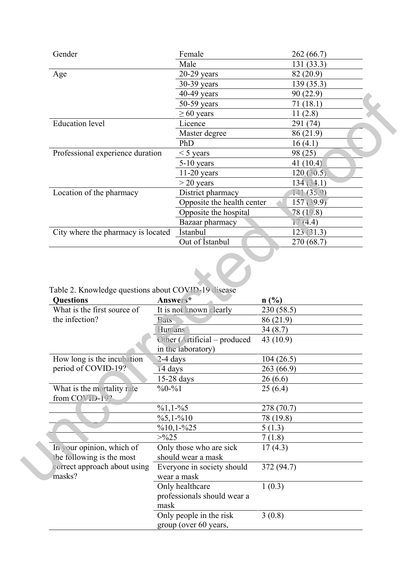| Gender                             | Female                     | 262(66.7)   |
|------------------------------------|----------------------------|-------------|
|                                    | Male                       | 131 (33.3)  |
| Age                                | $20-29$ years              | 82 (20.9)   |
|                                    | 30-39 years                | 139 (35.3)  |
|                                    | 40-49 years                | 90(22.9)    |
|                                    | 50-59 years                | 71 (18.1)   |
|                                    | $\geq 60$ years            | 11(2.8)     |
| <b>Education</b> level             | Licence                    | 291 (74)    |
|                                    | Master degree              | 86 (21.9)   |
|                                    | PhD                        | 16(4.1)     |
| Professional experience duration   | $<$ 5 years                | 98 (25)     |
|                                    | $5-10$ years               | 41 $(10.4)$ |
|                                    | $11-20$ years              | 120(30.5)   |
|                                    | $>$ 20 years               | 134 (34.1)  |
| Location of the pharmacy           | District pharmacy          | 141 (35.9)  |
|                                    | Opposite the health center | 157 (39.9)  |
|                                    | Opposite the hospital      | 78 (19.8)   |
|                                    | Bazaar pharmacy            | 17(4.4)     |
| City where the pharmacy is located | <i>Istanbul</i>            | 123(31.3)   |
|                                    | Out of Istanbul            | 270 (68.7)  |

Table 2. Knowledge questions about COVID-19 disease

|                                                                                                                                |             | 40-49 years                                   | 90 (22.9)             |  |
|--------------------------------------------------------------------------------------------------------------------------------|-------------|-----------------------------------------------|-----------------------|--|
|                                                                                                                                |             | 50-59 years                                   | 71(18.1)              |  |
|                                                                                                                                |             | $\geq 60$ years                               | 11(2.8)               |  |
| <b>Education</b> level                                                                                                         |             | Licence                                       | 291 (74)              |  |
|                                                                                                                                |             | Master degree                                 | 86 (21.9)             |  |
|                                                                                                                                |             | PhD                                           | 16(4.1)               |  |
| Professional experience duration                                                                                               |             | $<$ 5 years                                   | 98 (25)               |  |
|                                                                                                                                |             | 5-10 years                                    | 41 (10.4)             |  |
|                                                                                                                                |             | $11-20$ years                                 | 120(30.5)             |  |
|                                                                                                                                |             | $>$ 20 years                                  | 134(34.1)             |  |
| Location of the pharmacy                                                                                                       |             | District pharmacy                             | 141(35.9)             |  |
|                                                                                                                                |             | Opposite the health center                    | 157 (39.9)            |  |
|                                                                                                                                |             | Opposite the hospital                         | 78 (19.8)             |  |
|                                                                                                                                |             | Bazaar pharmacy                               | 17(4.4)               |  |
| City where the pharmacy is located                                                                                             |             | <i>i</i> stanbul                              | 123(31.3)             |  |
|                                                                                                                                |             | Out of Istanbul                               | 270 (68.7)            |  |
|                                                                                                                                |             |                                               |                       |  |
| Table 2. Knowledge questions about COVID-19 disease                                                                            |             |                                               |                       |  |
|                                                                                                                                |             | Answers*                                      | n(%)                  |  |
|                                                                                                                                |             | It is not known clearly                       | 230(58.5)             |  |
|                                                                                                                                | <b>Bats</b> |                                               | 86 (21.9)             |  |
|                                                                                                                                | Humans      |                                               | 34(8.7)               |  |
| What is the first source of                                                                                                    |             | Other (Artificial – produced                  | 43 (10.9)             |  |
|                                                                                                                                |             | in the laboratory)                            |                       |  |
|                                                                                                                                | 2-4 days    |                                               | 104(26.5)             |  |
|                                                                                                                                | 14 days     | $15-28$ days                                  | 263 (66.9)<br>26(6.6) |  |
|                                                                                                                                | $\%0 - \%1$ |                                               | 25(6.4)               |  |
| What is the mortality rate<br>from COVID-19?                                                                                   |             |                                               |                       |  |
|                                                                                                                                | $\%1,1-\%5$ |                                               | 278 (70.7)            |  |
|                                                                                                                                |             | $\frac{6}{5}$ , 1- $\frac{6}{10}$             | 78 (19.8)             |  |
|                                                                                                                                | >0/025      | $\%10,1-\%25$                                 | 5(1.3)                |  |
|                                                                                                                                |             |                                               | 7(1.8)                |  |
|                                                                                                                                |             | Only those who are sick<br>should wear a mask | 17(4.3)               |  |
| the following is the most                                                                                                      |             |                                               |                       |  |
| correct approach about using                                                                                                   |             | Everyone in society should<br>wear a mask     | 372 (94.7)            |  |
|                                                                                                                                |             |                                               |                       |  |
|                                                                                                                                |             | Only healthcare                               | 1(0.3)                |  |
| <b>Questions</b><br>the infection?<br>How long is the incubation<br>period of COVID-19?<br>In your opinion, which of<br>masks? | mask        | professionals should wear a                   |                       |  |
|                                                                                                                                |             | Only people in the risk                       | 3(0.8)                |  |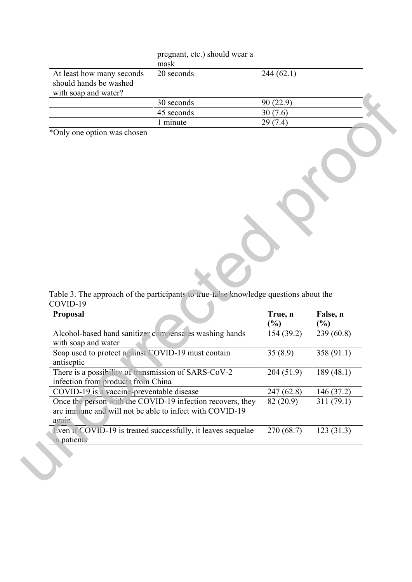|                                                                             | pregnant, etc.) should wear a<br>mask |           |  |
|-----------------------------------------------------------------------------|---------------------------------------|-----------|--|
| At least how many seconds<br>should hands be washed<br>with soap and water? | 20 seconds                            | 244(62.1) |  |
|                                                                             | 30 seconds                            | 90(22.9)  |  |
|                                                                             | 45 seconds                            | 30(7.6)   |  |
|                                                                             | minute                                | 29(7.4)   |  |

|                                                                           | 30 seconds                                                                                                            | 90(22.9)                   |               |
|---------------------------------------------------------------------------|-----------------------------------------------------------------------------------------------------------------------|----------------------------|---------------|
|                                                                           | 45 seconds                                                                                                            | 30(7.6)                    |               |
|                                                                           | 1 minute                                                                                                              | 29(7.4)                    |               |
| *Only one option was chosen                                               |                                                                                                                       |                            |               |
|                                                                           |                                                                                                                       |                            |               |
| COVID-19<br>Proposal                                                      | Table 3. The approach of the participants to true-false knowledge questions about the                                 | True, n                    | False, n      |
|                                                                           |                                                                                                                       | $\left(\frac{0}{0}\right)$ | $\frac{6}{6}$ |
|                                                                           | Alcohol-based hand sanitizer compensates washing hands                                                                | 154(39.2)                  | 239(60.8)     |
| with soap and water<br>Soap used to protect against COVID-19 must contain |                                                                                                                       | 35(8.9)                    | 358(91.1)     |
| There is a possibility of transmission of SARS-CoV-2                      |                                                                                                                       | 204(51.9)                  | 189(48.1)     |
| COVID-19 is a vaccine-preventable disease                                 |                                                                                                                       | 247 (62.8)                 | 146 (37.2)    |
| antiseptic<br>infection from products from China<br>again                 | Once the person with the COVID-19 infection recovers, they<br>are immune and will not be able to infect with COVID-19 | 82(20.9)                   | 311(79.1)     |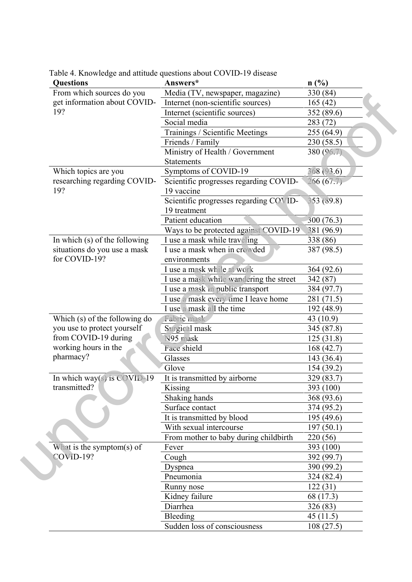|  | <b>Questions</b>                     | Answers*                                | n(%)       |
|--|--------------------------------------|-----------------------------------------|------------|
|  | From which sources do you            | Media (TV, newspaper, magazine)         | 330 (84)   |
|  | get information about COVID-<br>19?  | Internet (non-scientific sources)       | 165(42)    |
|  |                                      | Internet (scientific sources)           | 352 (89.6) |
|  |                                      | Social media                            | 283 (72)   |
|  |                                      | Trainings / Scientific Meetings         | 255 (64.9) |
|  |                                      | Friends / Family                        | 230 (58.5) |
|  |                                      | Ministry of Health / Government         | 380 (96.7) |
|  |                                      | <b>Statements</b>                       |            |
|  | Which topics are you                 | Symptoms of COVID-19                    | 368 (93.6) |
|  | researching regarding COVID-         | Scientific progresses regarding COVID-  | 266(67.7)  |
|  | 19?                                  | 19 vaccine                              |            |
|  |                                      | Scientific progresses regarding COVID-  | 353 (89.8) |
|  |                                      | 19 treatment                            |            |
|  |                                      | Patient education                       | 300 (76.3) |
|  |                                      | Ways to be protected against COVID-19   | 381 (96.9) |
|  | In which (s) of the following        | I use a mask while traveling            | 338(86)    |
|  | situations do you use a mask         | I use a mask when in crowded            | 387 (98.5) |
|  | for COVID-19?                        | environments                            |            |
|  |                                      | I use a mask while at work              | 364 (92.6) |
|  |                                      | I use a mask while wandering the street | 342 (87)   |
|  |                                      | I use a mask in public transport        | 384 (97.7) |
|  |                                      | I use a mask every time I leave home    | 281 (71.5) |
|  |                                      | I use a mask all the time               | 192 (48.9) |
|  | Which (s) of the following do        | Fabric mask                             | 43 (10.9)  |
|  | you use to protect yourself          | Surgical mask                           | 345 (87.8) |
|  | from COVID-19 during                 | N95 mask                                | 125(31.8)  |
|  | working hours in the                 | Face shield                             | 168 (42.7) |
|  | pharmacy?                            | Glasses                                 | 143 (36.4) |
|  |                                      | Glove                                   | 154(39.2)  |
|  | In which way(s) is $\text{COVID-19}$ | It is transmitted by airborne           | 329 (83.7) |
|  | transmitted?                         | Kissing                                 | 393 (100)  |
|  |                                      | Shaking hands                           | 368 (93.6) |
|  |                                      | Surface contact                         | 374 (95.2) |
|  |                                      | It is transmitted by blood              | 195(49.6)  |
|  |                                      | With sexual intercourse                 | 197(50.1)  |
|  |                                      | From mother to baby during childbirth   | 220(56)    |
|  | What is the symptom(s) of            | Fever                                   | 393 (100)  |
|  | <b>COVID-19?</b>                     | Cough                                   | 392 (99.7) |
|  |                                      | Dyspnea                                 | 390 (99.2) |
|  |                                      | Pneumonia                               | 324 (82.4) |
|  |                                      | Runny nose                              | 122(31)    |
|  |                                      | Kidney failure                          | 68 (17.3)  |
|  |                                      | Diarrhea                                | 326 (83)   |
|  |                                      | Bleeding                                | 45(11.5)   |
|  |                                      | Sudden loss of consciousness            | 108(27.5)  |

Table 4. Knowledge and attitude questions about COVID-19 disease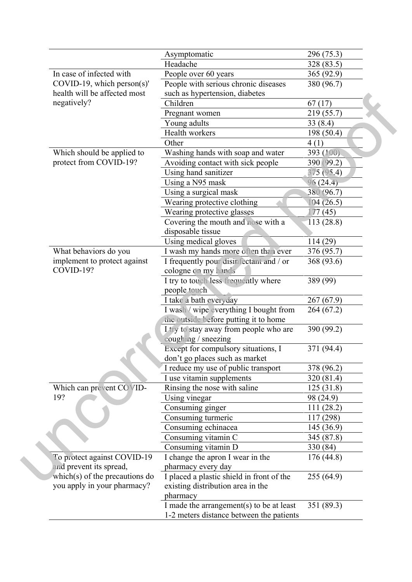|                                | Asymptomatic                              | 296 (75.3) |
|--------------------------------|-------------------------------------------|------------|
|                                | Headache                                  | 328 (83.5) |
| In case of infected with       | People over 60 years                      | 365 (92.9) |
| $COVID-19$ , which person(s)'  | People with serious chronic diseases      | 380 (96.7) |
| health will be affected most   | such as hypertension, diabetes            |            |
| negatively?                    | Children                                  | 67(17)     |
|                                | Pregnant women                            | 219 (55.7) |
|                                | Young adults                              | 33(8.4)    |
|                                | Health workers                            | 198 (50.4) |
|                                | Other                                     | 4(1)       |
| Which should be applied to     | Washing hands with soap and water         | 393 (100). |
| protect from COVID-19?         | Avoiding contact with sick people         | 390 (99.2) |
|                                | Using hand sanitizer                      | 375(95.4)  |
|                                | Using a N95 mask                          | 96(24.4)   |
|                                | Using a surgical mask                     | 380 (96.7) |
|                                | Wearing protective clothing               | 104 (26.5) |
|                                | Wearing protective glasses                | 177(45)    |
|                                | Covering the mouth and nose with a        | 113(28.8)  |
|                                | disposable tissue                         |            |
|                                | Using medical gloves                      | 114(29)    |
| What behaviors do you          | I wash my hands more often than ever      | 376 (95.7) |
| implement to protect against   | I frequently pour disinfectant and / or   | 368 (93.6) |
| COVID-19?                      | cologne on my hands                       |            |
|                                | I try to touch less frequently where      | 389 (99)   |
|                                | people touch                              |            |
|                                | I take a bath everyday                    | 267(67.9)  |
|                                | I wash / wipe everything I bought from    | 264 (67.2) |
|                                | the outside before putting it to home     |            |
|                                | I try to stay away from people who are    | 390 (99.2) |
|                                | coughing / sneezing                       |            |
|                                | Except for compulsory situations, I       | 371 (94.4) |
|                                | don't go places such as market            |            |
|                                | I reduce my use of public transport       | 378 (96.2) |
|                                | I use vitamin supplements                 | 320 (81.4) |
| Which can prevent COVID-       | Rinsing the nose with saline              | 125(31.8)  |
| 19?                            | Using vinegar                             | 98 (24.9)  |
|                                | Consuming ginger                          | 111(28.2)  |
|                                | Consuming turmeric                        | 117 (298)  |
|                                | Consuming echinacea                       | 145 (36.9) |
|                                | Consuming vitamin C                       | 345 (87.8) |
|                                | Consuming vitamin D                       | 330 (84)   |
| To protect against COVID-19    | I change the apron I wear in the          | 176(44.8)  |
| and prevent its spread,        | pharmacy every day                        |            |
| which(s) of the precautions do | I placed a plastic shield in front of the | 255 (64.9) |
| you apply in your pharmacy?    | existing distribution area in the         |            |
|                                | pharmacy                                  |            |
|                                | I made the arrangement(s) to be at least  | 351 (89.3) |
|                                | 1-2 meters distance between the patients  |            |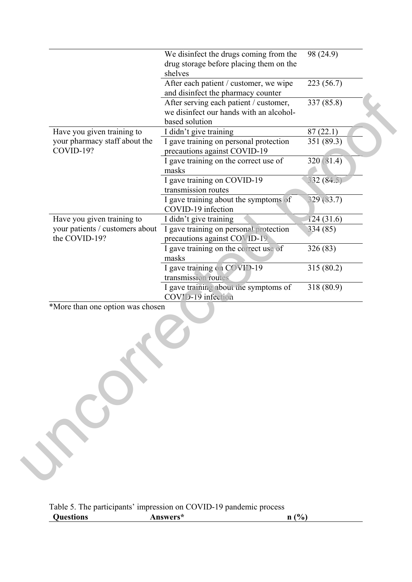| After each patient / customer, we wipe<br>223 (56.7)<br>and disinfect the pharmacy counter<br>337 (85.8)<br>After serving each patient / customer,<br>we disinfect our hands with an alcohol-<br>based solution<br>Have you given training to<br>87(22.1)<br>I didn't give training<br>your pharmacy staff about the<br>I gave training on personal protection<br>351 (89.3)<br>COVID-19?<br>precautions against COVID-19<br>320 (81.4)<br>I gave training on the correct use of<br>masks<br>I gave training on COVID-19<br>332 (84.5)<br>transmission routes<br>329 (83.7)<br>I gave training about the symptoms of<br>COVID-19 infection<br>Have you given training to<br>I didn't give training<br>124(31.6)<br>your patients / customers about<br>I gave training on personal protection<br>334 (85)<br>the COVID-19?<br>precautions against COVID-19<br>I gave training on the correct use of<br>326 (83)<br>masks<br>I gave training on COVID-19<br>315 (80.2)<br>transmission routes<br>I gave training about the symptoms of<br>318 (80.9)<br>COVID-19 infection<br>*More than one option was chosen | We disinfect the drugs coming from the<br>drug storage before placing them on the<br>shelves | 98 (24.9) |
|--------------------------------------------------------------------------------------------------------------------------------------------------------------------------------------------------------------------------------------------------------------------------------------------------------------------------------------------------------------------------------------------------------------------------------------------------------------------------------------------------------------------------------------------------------------------------------------------------------------------------------------------------------------------------------------------------------------------------------------------------------------------------------------------------------------------------------------------------------------------------------------------------------------------------------------------------------------------------------------------------------------------------------------------------------------------------------------------------------------|----------------------------------------------------------------------------------------------|-----------|
|                                                                                                                                                                                                                                                                                                                                                                                                                                                                                                                                                                                                                                                                                                                                                                                                                                                                                                                                                                                                                                                                                                              |                                                                                              |           |
|                                                                                                                                                                                                                                                                                                                                                                                                                                                                                                                                                                                                                                                                                                                                                                                                                                                                                                                                                                                                                                                                                                              |                                                                                              |           |
|                                                                                                                                                                                                                                                                                                                                                                                                                                                                                                                                                                                                                                                                                                                                                                                                                                                                                                                                                                                                                                                                                                              |                                                                                              |           |
|                                                                                                                                                                                                                                                                                                                                                                                                                                                                                                                                                                                                                                                                                                                                                                                                                                                                                                                                                                                                                                                                                                              |                                                                                              |           |
|                                                                                                                                                                                                                                                                                                                                                                                                                                                                                                                                                                                                                                                                                                                                                                                                                                                                                                                                                                                                                                                                                                              |                                                                                              |           |
|                                                                                                                                                                                                                                                                                                                                                                                                                                                                                                                                                                                                                                                                                                                                                                                                                                                                                                                                                                                                                                                                                                              |                                                                                              |           |
|                                                                                                                                                                                                                                                                                                                                                                                                                                                                                                                                                                                                                                                                                                                                                                                                                                                                                                                                                                                                                                                                                                              |                                                                                              |           |
|                                                                                                                                                                                                                                                                                                                                                                                                                                                                                                                                                                                                                                                                                                                                                                                                                                                                                                                                                                                                                                                                                                              |                                                                                              |           |
|                                                                                                                                                                                                                                                                                                                                                                                                                                                                                                                                                                                                                                                                                                                                                                                                                                                                                                                                                                                                                                                                                                              |                                                                                              |           |
|                                                                                                                                                                                                                                                                                                                                                                                                                                                                                                                                                                                                                                                                                                                                                                                                                                                                                                                                                                                                                                                                                                              |                                                                                              |           |
|                                                                                                                                                                                                                                                                                                                                                                                                                                                                                                                                                                                                                                                                                                                                                                                                                                                                                                                                                                                                                                                                                                              |                                                                                              |           |
|                                                                                                                                                                                                                                                                                                                                                                                                                                                                                                                                                                                                                                                                                                                                                                                                                                                                                                                                                                                                                                                                                                              |                                                                                              |           |
|                                                                                                                                                                                                                                                                                                                                                                                                                                                                                                                                                                                                                                                                                                                                                                                                                                                                                                                                                                                                                                                                                                              |                                                                                              |           |
|                                                                                                                                                                                                                                                                                                                                                                                                                                                                                                                                                                                                                                                                                                                                                                                                                                                                                                                                                                                                                                                                                                              |                                                                                              |           |

| Table 5. The participants' impression on COVID-19 pandemic process |          |      |
|--------------------------------------------------------------------|----------|------|
| <b>Questions</b>                                                   | Answers* | n(%) |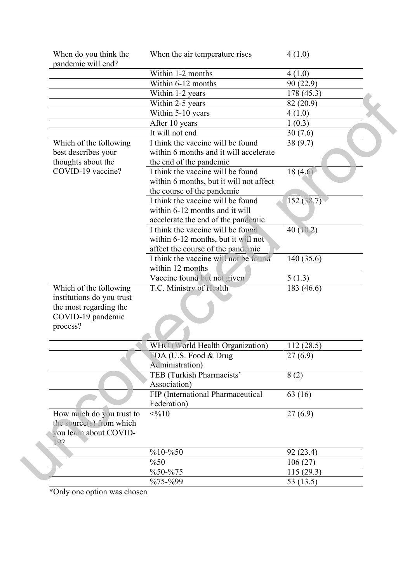| When do you think the<br>pandemic will end? | When the air temperature rises          | 4(1.0)     |
|---------------------------------------------|-----------------------------------------|------------|
|                                             | Within 1-2 months                       | 4(1.0)     |
|                                             | Within 6-12 months                      | 90(22.9)   |
|                                             | Within 1-2 years                        | 178 (45.3) |
|                                             | Within 2-5 years                        | 82 (20.9)  |
|                                             | Within 5-10 years                       | 4(1.0)     |
|                                             | After 10 years                          | 1(0.3)     |
|                                             | It will not end                         | 30(7.6)    |
| Which of the following                      | I think the vaccine will be found       | 38(9.7)    |
| best describes your                         | within 6 months and it will accelerate  |            |
| thoughts about the                          | the end of the pandemic                 |            |
| COVID-19 vaccine?                           | I think the vaccine will be found       | 18(4,6)    |
|                                             | within 6 months, but it will not affect |            |
|                                             | the course of the pandemic              |            |
|                                             | I think the vaccine will be found       | 152(38.7)  |
|                                             | within 6-12 months and it will          |            |
|                                             | accelerate the end of the pandemic      |            |
|                                             | I think the vaccine will be found       | 40 (10.2)  |
|                                             | within 6-12 months, but it will not     |            |
|                                             | affect the course of the pandemic       |            |
|                                             | I think the vaccine will not be found   | 140 (35.6) |
|                                             | within 12 months                        |            |
|                                             | Vaccine found but not given             | 5(1.3)     |
| Which of the following                      | T.C. Ministry of Health                 | 183 (46.6) |
| institutions do you trust                   |                                         |            |
| the most regarding the                      |                                         |            |
| COVID-19 pandemic                           |                                         |            |
| process?                                    |                                         |            |
|                                             |                                         |            |
|                                             | WHO (World Health Organization)         | 112(28.5)  |
|                                             | FDA (U.S. Food & Drug                   | 27(6.9)    |
|                                             | Administration)                         |            |
|                                             | TEB (Turkish Pharmacists'               | 8(2)       |
|                                             | Association)                            |            |
|                                             | FIP (International Pharmaceutical       | 63 (16)    |
|                                             | Federation)                             |            |
| How much do you trust to                    | <0/010                                  | 27(6.9)    |
| the source(s) from which                    |                                         |            |
| you learn about COVID-                      |                                         |            |
| 19?                                         |                                         |            |
|                                             | $%10-%50$                               | 92 (23.4)  |
|                                             | $\frac{0}{0}$ 50                        | 106(27)    |
|                                             | $%50 - %75$                             | 115(29.3)  |
|                                             | %75-%99                                 | 53 (13.5)  |
|                                             |                                         |            |

\*Only one option was chosen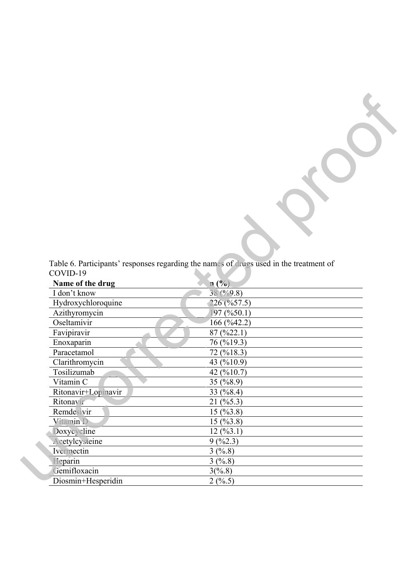|          | Table 6. Participants' responses regarding the names of drugs used in the treatment of |  |  |  |  |
|----------|----------------------------------------------------------------------------------------|--|--|--|--|
| COVID-19 |                                                                                        |  |  |  |  |

Proof

| COVID-19            | Table 6. Participants' responses regarding the names of drugs used in the treatment of |
|---------------------|----------------------------------------------------------------------------------------|
| Name of the drug    | n(%)                                                                                   |
| I don't know        | 38 (%9.8)                                                                              |
| Hydroxychloroquine  | $226($ %57.5)                                                                          |
| Azithyromycin       | 97 (9650.1)                                                                            |
| Oseltamivir         | 166 (%42.2)                                                                            |
| Favipiravir         | $87 \left( \frac{9}{22.1} \right)$                                                     |
| Enoxaparin          | 76 (%19.3)                                                                             |
| Paracetamol         | 72 (%18.3)                                                                             |
| Clarithromycin      | 43 (%10.9)                                                                             |
| Tosilizumab         | 42 (%10.7)                                                                             |
| Vitamin C           | 35 $(%8.9)$                                                                            |
| Ritonavir+Lopinavir | 33 $(\frac{6}{8}.4)$                                                                   |
| Ritonavir           | $21 \, (%5.3)$                                                                         |
| Remdesivir          | 15(%3.8)                                                                               |
| Vitamin D           | 15(%3.8)                                                                               |
| Doxycycline         | 12(%3.1)                                                                               |
| Acetylcysteine      | 9(%2.3)                                                                                |
| Ivermectin          | 3(%8)                                                                                  |
| Heparin             | 3(%8)                                                                                  |
| Gemifloxacin        | 3(%8)                                                                                  |
| Diosmin+Hesperidin  | 2(%5)                                                                                  |